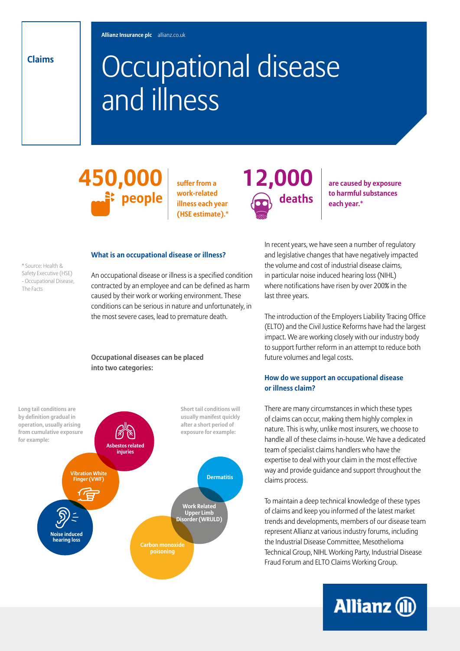**Claims**

\* Source: Health & Safety Executive (HSE) - Occupational Disease,

The Facts

# Occupational disease and illness

**450,000 people**

**suffer from a work-related illness each year (HSE estimate).\***



**are caused by exposure to harmful substances each year.\***

#### **What is an occupational disease or illness?**

An occupational disease or illness is a specified condition contracted by an employee and can be defined as harm caused by their work or working environment. These conditions can be serious in nature and unfortunately, in the most severe cases, lead to premature death.

### **Occupational diseases can be placed into two categories:**



In recent years, we have seen a number of regulatory and legislative changes that have negatively impacted the volume and cost of industrial disease claims, in particular noise induced hearing loss (NIHL) where notifications have risen by over 200% in the last three years.

The introduction of the Employers Liability Tracing Office (ELTO) and the Civil Justice Reforms have had the largest impact. We are working closely with our industry body to support further reform in an attempt to reduce both future volumes and legal costs.

# **How do we support an occupational disease or illness claim?**

There are many circumstances in which these types of claims can occur, making them highly complex in nature. This is why, unlike most insurers, we choose to handle all of these claims in-house. We have a dedicated team of specialist claims handlers who have the expertise to deal with your claim in the most effective way and provide guidance and support throughout the claims process.

To maintain a deep technical knowledge of these types of claims and keep you informed of the latest market trends and developments, members of our disease team represent Allianz at various industry forums, including the Industrial Disease Committee, Mesothelioma Technical Group, NIHL Working Party, Industrial Disease Fraud Forum and ELTO Claims Working Group.